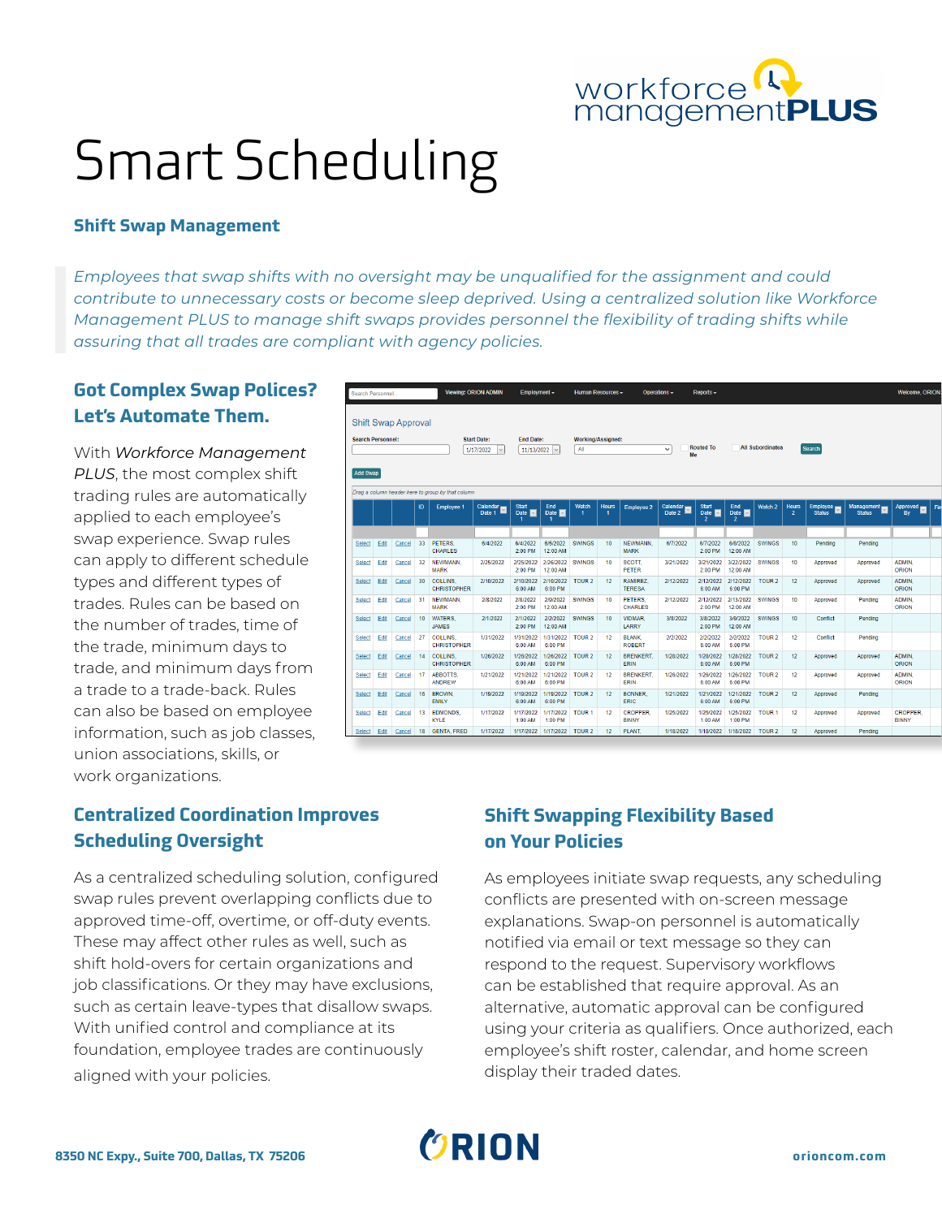

# Smart Scheduling

#### **Shift Swap Management**

*Employees that swap shifts with no oversight may be unqualified for the assignment and could contribute to unnecessary costs or become sleep deprived. Using a centralized solution like Workforce Management PLUS to manage shift swaps provides personnel the flexibility of trading shifts while assuring that all trades are compliant with agency policies.* 

## **Got Complex Swap Polices? Let's Automate Them.**

With *Workforce Management PLUS*, the most complex shift trading rules are automatically applied to each employee's swap experience. Swap rules can apply to different schedule types and different types of trades. Rules can be based on the number of trades, time of the trade, minimum days to trade, and minimum days from a trade to a trade-back. Rules can also be based on employee information, such as job classes, union associations, skills, or work organizations.

|                                             |      | <b>Shift Swap Approval</b> |                  |                                                   |                                 |                                |                       |                          |                  |                                 |                    |                                               |                                           |                         |                                |                           |                             |                                 |     |
|---------------------------------------------|------|----------------------------|------------------|---------------------------------------------------|---------------------------------|--------------------------------|-----------------------|--------------------------|------------------|---------------------------------|--------------------|-----------------------------------------------|-------------------------------------------|-------------------------|--------------------------------|---------------------------|-----------------------------|---------------------------------|-----|
| <b>Search Personnel:</b><br><b>Add Swap</b> |      |                            |                  |                                                   | <b>Start Date:</b><br>1/17/2022 | <b>End Date:</b><br>11/13/2022 |                       | Working/Assigned:<br>All |                  |                                 | $\checkmark$<br>Me | <b>Routed To</b>                              |                                           | <b>All Subordinates</b> |                                | Search                    |                             |                                 |     |
|                                             |      |                            |                  | Drag a column header here to group by that column |                                 |                                |                       |                          |                  |                                 |                    |                                               |                                           |                         |                                |                           |                             |                                 |     |
|                                             |      |                            | ID               | <b>Employee 1</b>                                 | Calendar<br>Date 1              | <b>Start</b><br>Date $\Box$    | End<br>Date $\Box$    | Watch                    | <b>Hours</b>     | <b>Employee 2</b>               | Calendar $\Box$    | <b>Start</b><br>Date $\Box$<br>$\overline{2}$ | End<br>Date $  \cdot  $<br>$\overline{2}$ | Watch 2                 | <b>Hours</b><br>$\overline{2}$ | Employee<br><b>Status</b> | Management<br><b>Status</b> | Approved <b>EX</b><br>By        | Fin |
|                                             |      |                            |                  |                                                   |                                 |                                |                       |                          |                  |                                 |                    |                                               |                                           |                         |                                |                           |                             |                                 |     |
| Select                                      | Edit | Cancel                     | 33 <sup>°</sup>  | PETERS.<br><b>CHARLES</b>                         | 6/4/2022                        | 6/4/2022<br>2:00 PM            | 6/5/2022<br>12:00 AM  | <b>SWINGS</b>            | 10 <sup>10</sup> | <b>NEWMANN</b><br><b>MARK</b>   | 6/7/2022           | 6/7/2022<br>2:00 PM                           | 6/8/2022<br>12:00 AM                      | <b>SWINGS</b>           | 10                             | Pending                   | Pending                     |                                 |     |
| Select                                      | Edit | Cancel                     | 32               | NEWMANN.<br><b>MARK</b>                           | 2/25/2022                       | 2/25/2022<br>2:00 PM           | 2/26/2022<br>12:00 AM | <b>SWINGS</b>            | 10               | SCOTT.<br><b>PETER</b>          | 3/21/2022          | 3/21/2022<br>2:00 PM                          | 3/22/2022<br>12:00 AM                     | <b>SWINGS</b>           | 10                             | Approved                  | Approved                    | ADMIN.<br><b>ORION</b>          |     |
| Select                                      | Edit | Cancel                     | 30               | <b>COLLINS</b><br><b>CHRISTOPHER</b>              | 2/10/2022                       | 2/10/2022<br>6:00 AM           | 2/10/2022<br>6:00 PM  | TOUR <sub>2</sub>        | 12               | <b>RAMIREZ</b><br><b>TERESA</b> | 2/12/2022          | 2/12/2022<br>6:00 AM                          | 2/12/2022<br>6:00 PM                      | TOUR <sub>2</sub>       | 12                             | Approved                  | Approved                    | ADMIN.<br><b>ORION</b>          |     |
| <b>Select</b>                               | Edit | Cancel                     | 31               | NEWMANN.<br><b>MARK</b>                           | 2/8/2022                        | 2/8/2022<br>2:00 PM            | 2/9/2022<br>12:00 AM  | <b>SWINGS</b>            | 10               | PETERS.<br><b>CHARLES</b>       | 2/12/2022          | 2/12/2022<br>2:00 PM                          | 2/13/2022<br>12:00 AM                     | <b>SWINGS</b>           | 10                             | Approved                  | Pendina                     | <b>ADMIN.</b><br>ORION          |     |
| Select                                      | Edit | Cancel                     | 10 <sub>10</sub> | <b>WATERS</b><br><b>JAMES</b>                     | 2/1/2022                        | 2/1/2022<br>2:00 PM            | 2/2/2022<br>12:00 AM  | <b>SWINGS</b>            | 10 <sub>10</sub> | VIDMAR.<br>LARRY                | 3/8/2022           | 3/8/2022<br>2:00 PM                           | 3/9/2022<br>12:00 AM                      | <b>SWINGS</b>           | 10                             | Conflict                  | Pending                     |                                 |     |
| Select                                      | Edit | Cancel                     | 27               | <b>COLLINS</b><br><b>CHRISTOPHER</b>              | 1/31/2022                       | 1/31/2022<br>6:00 AM           | 1/31/2022<br>6:00 PM  | <b>TOUR 2</b>            | 12               | <b>BLANK.</b><br><b>ROBERT</b>  | 2/2/2022           | 2/2/2022<br>6:00 AM                           | 2/2/2022<br>6:00 PM                       | <b>TOUR 2</b>           | 12                             | Conflict                  | Pending                     |                                 |     |
| Select                                      | Edit | Cancel                     | 14               | <b>COLLINS</b><br><b>CHRISTOPHER</b>              | 1/26/2022                       | 1/26/2022<br>6:00 AM           | 1/26/2022<br>6:00 PM  | TOUR <sub>2</sub>        | 12               | <b>BRENKERT</b><br><b>ERIN</b>  | 1/28/2022          | 1/28/2022<br>6:00 AM                          | 1/28/2022<br>6:00 PM                      | TOUR <sub>2</sub>       | 12                             | Approved                  | Approved                    | ADMIN.<br><b>ORION</b>          |     |
| <b>Select</b>                               | Edit | Cancel                     | 17               | <b>ABBOTTS</b><br>ANDREW                          | 1/21/2022                       | 1/21/2022<br>6:00 AM           | 1/21/2022<br>6:00 PM  | TOUR <sub>2</sub>        | 12               | <b>BRENKERT.</b><br><b>ERIN</b> | 1/26/2022          | 1/26/2022<br>6:00 AM                          | 1/26/2022<br>6:00 PM                      | TOUR <sub>2</sub>       | 12                             | Approved                  | Approved                    | <b>ADMIN</b><br><b>ORION</b>    |     |
| <b>Select</b>                               | Edit | Cancel                     | 16               | <b>BROWN.</b><br><b>EMILY</b>                     | 1/19/2022                       | 1/19/2022<br>6:00 AM           | 1/19/2022<br>6:00 PM  | TOUR <sub>2</sub>        | 12               | <b>BONNER</b><br><b>ERIC</b>    | 1/21/2022          | 1/21/2022<br>6:00 AM                          | 1/21/2022<br>6:00 PM                      | TOUR <sub>2</sub>       | 12                             | Approved                  | Pending                     |                                 |     |
| Select                                      | Edit | Cancel                     | 13               | <b>EDMONDS.</b><br><b>KYLE</b>                    | 1/17/2022                       | 1/17/2022<br>1:00 AM           | 1/17/2022<br>1:00 PM  | <b>TOUR 1</b>            | 12               | <b>CROPPER</b><br><b>BINNY</b>  | 1/25/2022          | 1/25/2022<br>1:00 AM                          | 1/25/2022<br>1:00 PM                      | <b>TOUR 1</b>           | 12                             | Approved                  | Approved                    | <b>CROPPER.</b><br><b>BINNY</b> |     |
| Select                                      | Edit | Cancel                     | 18               | <b>GENTA, FRED</b>                                | 1/17/2022                       | 1/17/2022                      | 1/17/2022             | TOUR <sub>2</sub>        | 12 <sup>2</sup>  | PLANT.                          | 1/18/2022          | 1/18/2022                                     | 1/18/2022                                 | TOUR <sub>2</sub>       | 12                             | Approved                  | Pending                     |                                 |     |

# **Centralized Coordination Improves Scheduling Oversight**

As a centralized scheduling solution, configured swap rules prevent overlapping conflicts due to approved time-off, overtime, or off-duty events. These may affect other rules as well, such as shift hold-overs for certain organizations and job classifications. Or they may have exclusions, such as certain leave-types that disallow swaps. With unified control and compliance at its foundation, employee trades are continuously aligned with your policies.

# **Shift Swapping Flexibility Based on Your Policies**

As employees initiate swap requests, any scheduling conflicts are presented with on-screen message explanations. Swap-on personnel is automatically notified via email or text message so they can respond to the request. Supervisory workflows can be established that require approval. As an alternative, automatic approval can be configured using your criteria as qualifiers. Once authorized, each employee's shift roster, calendar, and home screen display their traded dates.